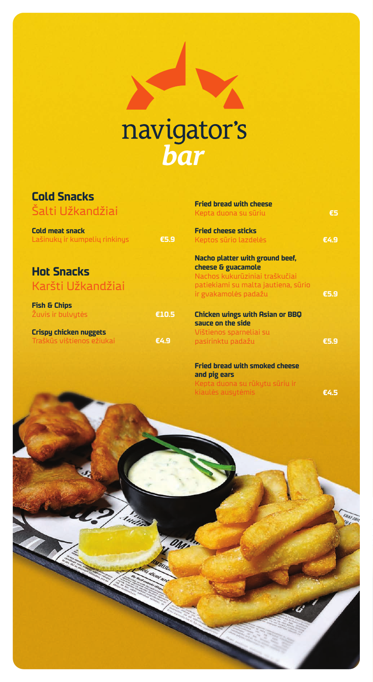

## **Cold Snacks** .<br>Salti I lžkandži

| Cold meat snack               |      |
|-------------------------------|------|
| Lašinukų ir kumpelių rinkinys | €5.9 |

| <b>Fried bread with cheese</b><br>Kepta duona su sūriu      | £5   |
|-------------------------------------------------------------|------|
| <b>Fried cheese sticks</b><br>Keptos sūrio lazdelės         | €4.9 |
| Nacho platter with ground beef,                             |      |
| cheese & guacamole                                          |      |
| Nachos kukurūziniai traškučiai                              |      |
| patiekiami su malta jautiena, sūrio<br>ir gvakamolės padažu | €5.9 |
| <b>Chicken wings with Asian or BBQ</b>                      |      |
| sauce on the side<br>Vištienos sparneliai su                |      |
| pasirinktu padažu                                           | €5.9 |
|                                                             |      |
|                                                             |      |

**Fried bread with smoked cheese and pig ears** Kepta duona su rūkytu sūriu ir

**Hot Snacks** Karšti Užkandžiai

| <b>Fish &amp; Chips</b><br>Žuvis ir bulvytės               | €10.5 |
|------------------------------------------------------------|-------|
| <b>Crispy chicken nuggets</b><br>Traškūs vištienos ežiukai | €4.9  |